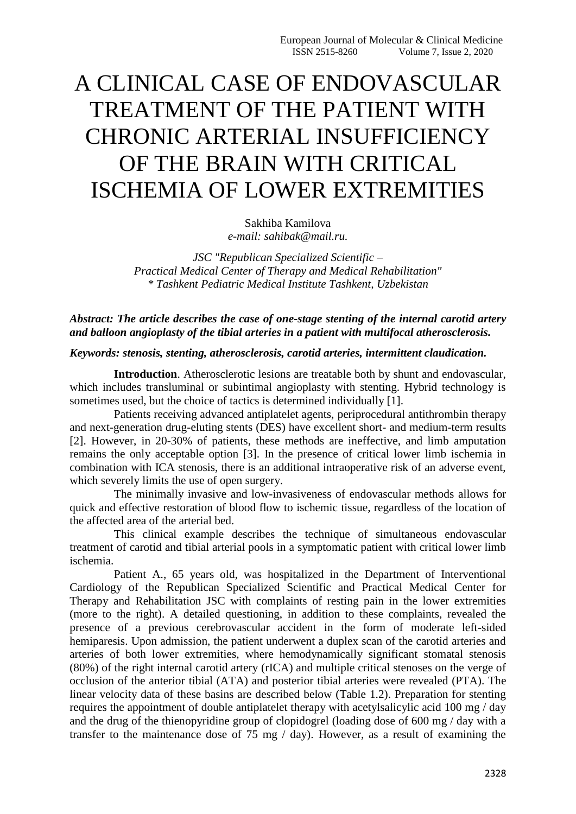# A CLINICAL CASE OF ENDOVASCULAR TREATMENT OF THE PATIENT WITH CHRONIC ARTERIAL INSUFFICIENCY OF THE BRAIN WITH CRITICAL ISCHEMIA OF LOWER EXTREMITIES

Sakhiba Kamilova *e-mail: sahibak@mail.ru.*

*JSC "Republican Specialized Scientific – Practical Medical Center of Therapy and Medical Rehabilitation" \* Tashkent Pediatric Medical Institute Tashkent, Uzbekistan*

*Abstract: The article describes the case of one-stage stenting of the internal carotid artery and balloon angioplasty of the tibial arteries in a patient with multifocal atherosclerosis.*

#### *Keywords: stenosis, stenting, atherosclerosis, carotid arteries, intermittent claudication.*

**Introduction**. Atherosclerotic lesions are treatable both by shunt and endovascular, which includes transluminal or subintimal angioplasty with stenting. Hybrid technology is sometimes used, but the choice of tactics is determined individually [1].

Patients receiving advanced antiplatelet agents, periprocedural antithrombin therapy and next-generation drug-eluting stents (DES) have excellent short- and medium-term results [2]. However, in 20-30% of patients, these methods are ineffective, and limb amputation remains the only acceptable option [3]. In the presence of critical lower limb ischemia in combination with ICA stenosis, there is an additional intraoperative risk of an adverse event, which severely limits the use of open surgery.

The minimally invasive and low-invasiveness of endovascular methods allows for quick and effective restoration of blood flow to ischemic tissue, regardless of the location of the affected area of the arterial bed.

This clinical example describes the technique of simultaneous endovascular treatment of carotid and tibial arterial pools in a symptomatic patient with critical lower limb ischemia.

Patient A., 65 years old, was hospitalized in the Department of Interventional Cardiology of the Republican Specialized Scientific and Practical Medical Center for Therapy and Rehabilitation JSC with complaints of resting pain in the lower extremities (more to the right). A detailed questioning, in addition to these complaints, revealed the presence of a previous cerebrovascular accident in the form of moderate left-sided hemiparesis. Upon admission, the patient underwent a duplex scan of the carotid arteries and arteries of both lower extremities, where hemodynamically significant stomatal stenosis (80%) of the right internal carotid artery (rICA) and multiple critical stenoses on the verge of occlusion of the anterior tibial (ATA) and posterior tibial arteries were revealed (PTA). The linear velocity data of these basins are described below (Table 1.2). Preparation for stenting requires the appointment of double antiplatelet therapy with acetylsalicylic acid 100 mg / day and the drug of the thienopyridine group of clopidogrel (loading dose of 600 mg / day with a transfer to the maintenance dose of 75 mg / day). However, as a result of examining the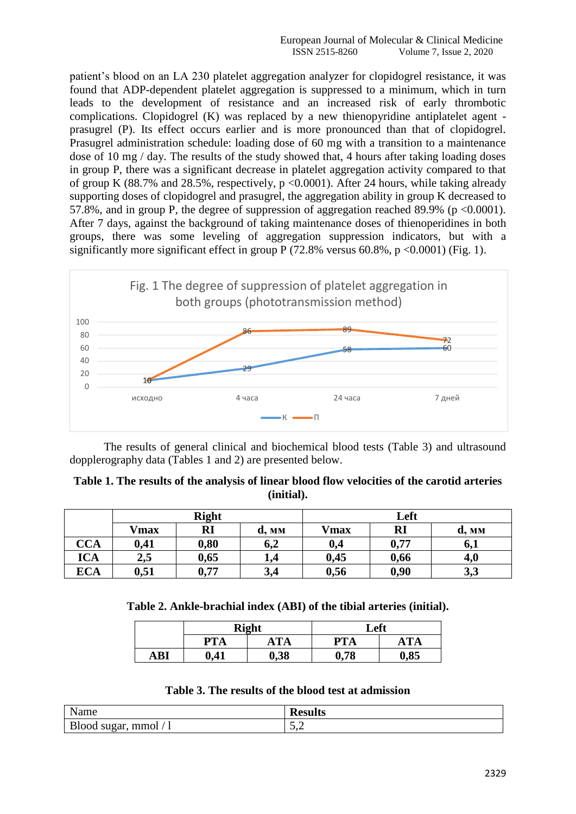patient's blood on an LA 230 platelet aggregation analyzer for clopidogrel resistance, it was found that ADP-dependent platelet aggregation is suppressed to a minimum, which in turn leads to the development of resistance and an increased risk of early thrombotic complications. Clopidogrel (K) was replaced by a new thienopyridine antiplatelet agent prasugrel (P). Its effect occurs earlier and is more pronounced than that of clopidogrel. Prasugrel administration schedule: loading dose of 60 mg with a transition to a maintenance dose of 10 mg / day. The results of the study showed that, 4 hours after taking loading doses in group P, there was a significant decrease in platelet aggregation activity compared to that of group K  $(88.7\%$  and  $28.5\%$ , respectively, p <0.0001). After 24 hours, while taking already supporting doses of clopidogrel and prasugrel, the aggregation ability in group K decreased to 57.8%, and in group P, the degree of suppression of aggregation reached 89.9% ( $p \le 0.0001$ ). After 7 days, against the background of taking maintenance doses of thienoperidines in both groups, there was some leveling of aggregation suppression indicators, but with a significantly more significant effect in group P  $(72.8\%$  versus 60.8%, p <0.0001) (Fig. 1).



The results of general clinical and biochemical blood tests (Table 3) and ultrasound dopplerography data (Tables 1 and 2) are presented below.

| Table 1. The results of the analysis of linear blood flow velocities of the carotid arteries |
|----------------------------------------------------------------------------------------------|
| (initial).                                                                                   |

|            | <b>Right</b> |      |       | Left         |      |       |
|------------|--------------|------|-------|--------------|------|-------|
|            | <b>Vmax</b>  | RI   | d, MM | <b>V</b> max | RI   | d, MM |
| <b>CCA</b> | 0,41         | 0,80 | 6,2   | 0,4          | 0,77 | 6,1   |
| <b>ICA</b> | 2,5          | 0,65 | 1,4   | 0,45         | 0,66 | 4,0   |
| <b>ECA</b> | 0,51         | 0,77 | 3,4   | 0,56         | 0,90 | 3,3   |

**Table 2. Ankle-brachial index (ABI) of the tibial arteries (initial).**

|     |            | <b>Right</b> | Left       |      |  |
|-----|------------|--------------|------------|------|--|
|     | <b>PTA</b> | ATA          | <b>PTA</b> | ATA  |  |
| ABI | 0,41       | 0,38         | 0,78       | 0,85 |  |

|  |  |  |  |  |  |  |  |  | Table 3. The results of the blood test at admission |
|--|--|--|--|--|--|--|--|--|-----------------------------------------------------|
|--|--|--|--|--|--|--|--|--|-----------------------------------------------------|

| Name                  | esults |
|-----------------------|--------|
| Blood sugar, mmol / 1 | ັບ •ັ  |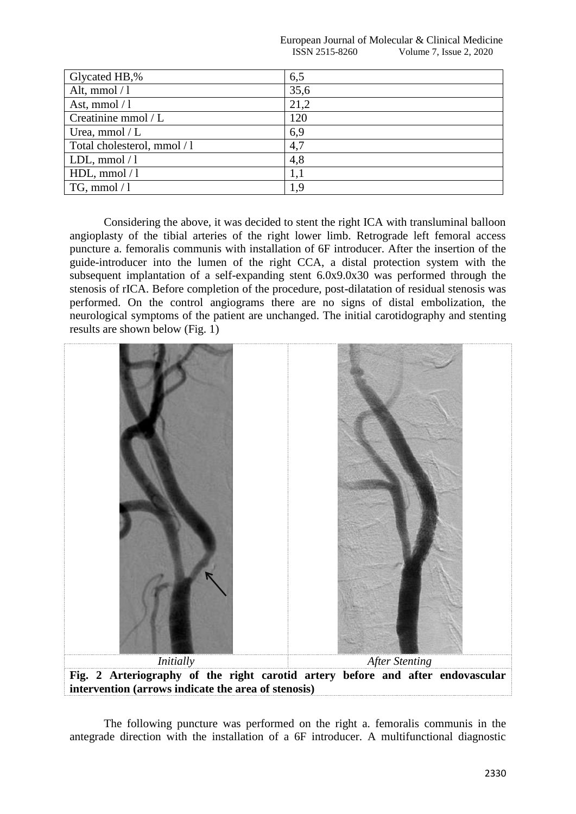European Journal of Molecular & Clinical Medicine **ISSN 2515-8260** Volume 7, Issue 2, 2020

| Glycated HB,%               | 6,5  |
|-----------------------------|------|
| Alt, mmol $/1$              | 35,6 |
| Ast, mmol $/1$              | 21,2 |
| Creatinine mmol / L         | 120  |
| Urea, mmol $/L$             | 6,9  |
| Total cholesterol, mmol / 1 | 4,7  |
| LDL, mmol $/1$              | 4,8  |
| HDL, mmol $/1$              | 1,1  |
| $TG$ , mmol / 1             | 1,9  |

Considering the above, it was decided to stent the right ICA with transluminal balloon angioplasty of the tibial arteries of the right lower limb. Retrograde left femoral access puncture a. femoralis communis with installation of 6F introducer. After the insertion of the guide-introducer into the lumen of the right CCA, a distal protection system with the subsequent implantation of a self-expanding stent 6.0x9.0x30 was performed through the stenosis of rICA. Before completion of the procedure, post-dilatation of residual stenosis was performed. On the control angiograms there are no signs of distal embolization, the neurological symptoms of the patient are unchanged. The initial carotidography and stenting results are shown below (Fig. 1)



The following puncture was performed on the right a. femoralis communis in the antegrade direction with the installation of a 6F introducer. A multifunctional diagnostic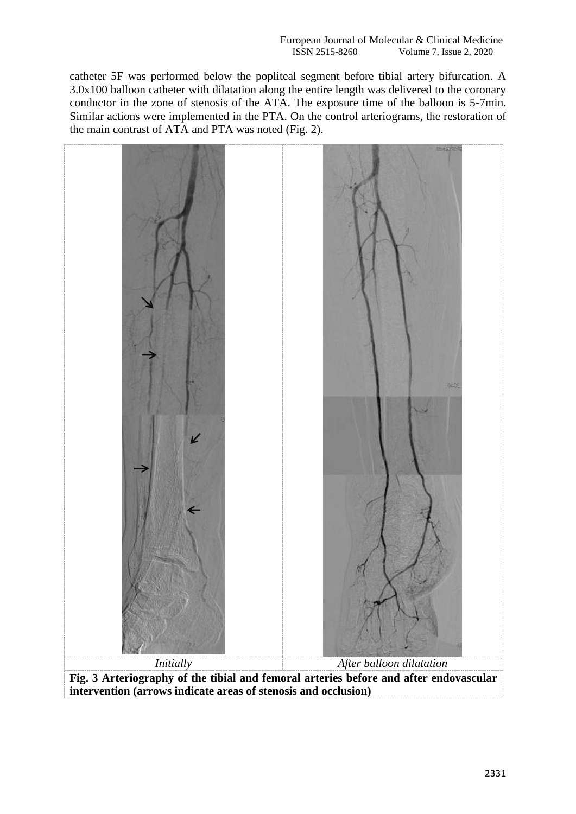catheter 5F was performed below the popliteal segment before tibial artery bifurcation. A 3.0x100 balloon catheter with dilatation along the entire length was delivered to the coronary conductor in the zone of stenosis of the ATA. The exposure time of the balloon is 5-7min. Similar actions were implemented in the PTA. On the control arteriograms, the restoration of the main contrast of ATA and PTA was noted (Fig. 2).



**Fig. 3 Arteriography of the tibial and femoral arteries before and after endovascular intervention (arrows indicate areas of stenosis and occlusion)**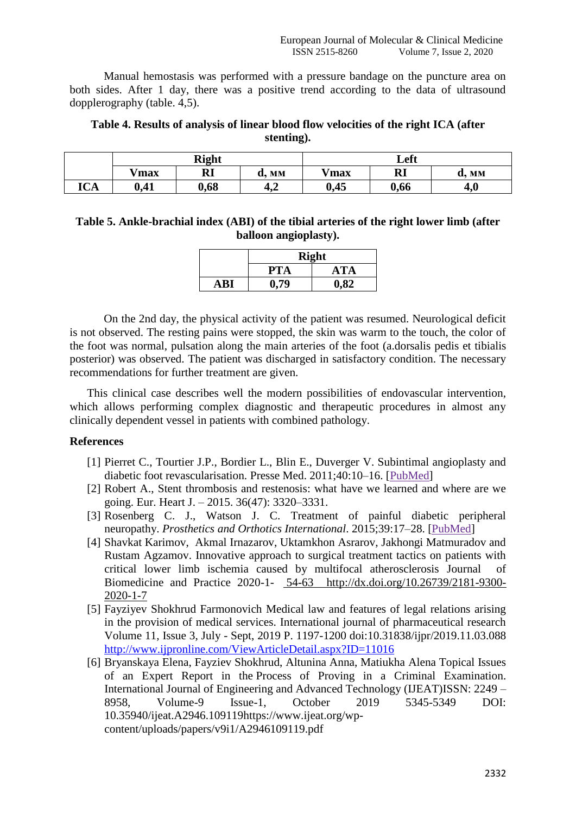Manual hemostasis was performed with a pressure bandage on the puncture area on both sides. After 1 day, there was a positive trend according to the data of ultrasound dopplerography (table. 4,5).

### **Table 4. Results of analysis of linear blood flow velocities of the right ICA (after stenting).**

|            | <b>Right</b> |           |                 | Left    |           |           |
|------------|--------------|-----------|-----------------|---------|-----------|-----------|
|            | <b>V</b> max | <b>RI</b> | <b>MM</b><br>u. | $V$ max | <b>RI</b> | MM<br>α,  |
| <b>ICA</b> | 0,41         | 0,68      | $\sim$<br>4,2   | 0,45    | 0,66      | $\bf 4.0$ |

## **Table 5. Ankle-brachial index (ABI) of the tibial arteries of the right lower limb (after balloon angioplasty).**

|       | <b>Right</b>      |      |  |  |  |
|-------|-------------------|------|--|--|--|
|       | <b>ATA</b><br>PTA |      |  |  |  |
| A R I | 0,79              | 0.82 |  |  |  |

On the 2nd day, the physical activity of the patient was resumed. Neurological deficit is not observed. The resting pains were stopped, the skin was warm to the touch, the color of the foot was normal, pulsation along the main arteries of the foot (a.dorsalis pedis et tibialis posterior) was observed. The patient was discharged in satisfactory condition. The necessary recommendations for further treatment are given.

This clinical case describes well the modern possibilities of endovascular intervention, which allows performing complex diagnostic and therapeutic procedures in almost any clinically dependent vessel in patients with combined pathology.

### **References**

- [1] Pierret C., Tourtier J.P., Bordier L., Blin E., Duverger V. Subintimal angioplasty and diabetic foot revascularisation. Presse Med. 2011;40:10–16. [\[PubMed\]](https://www.ncbi.nlm.nih.gov/pubmed/20980123)
- [2] [Robert A., S](https://www.ncbi.nlm.nih.gov/pubmed/?term=Byrne%20RA%5BAuthor%5D&cauthor=true&cauthor_uid=26417060)tent thrombosis and restenosis: what have we learned and where are we going. [Eur. Heart J.](https://www.ncbi.nlm.nih.gov/pmc/articles/PMC4677274/) – 2015. 36(47): 3320–3331.
- [3] Rosenberg C. J., Watson J. C. Treatment of painful diabetic peripheral neuropathy. *Prosthetics and Orthotics International*. 2015;39:17–28. [\[PubMed\]](https://www.ncbi.nlm.nih.gov/pubmed/25614498)
- [4] Shavkat Karimov, Akmal Irnazarov, Uktamkhon Asrarov, Jakhongi Matmuradov and Rustam Agzamov. Innovative approach to surgical treatment tactics on patients with critical lower limb ischemia caused by multifocal atherosclerosis Journal of Biomedicine and Practice 2020-1- [5](http://tadqiqot.uz/wp-content/uploads/2018/05/biomedicine-2016-1-6-10.pdf)4-63 [http://dx.doi.org/10.26739/2181-9300-](http://dx.doi.org/10.26739/2181-9300-2020-1-7) [2020-1-7](http://dx.doi.org/10.26739/2181-9300-2020-1-7)
- [5] Fayziyev Shokhrud Farmonovich Medical law and features of legal relations arising in the provision of medical services. International journal of pharmaceutical research Volume 11, Issue 3, July - Sept, 2019 P. 1197-1200 doi:10.31838/ijpr/2019.11.03.088 <http://www.ijpronline.com/ViewArticleDetail.aspx?ID=11016>
- [6] Bryanskaya Elena, Fayziev Shokhrud, Altunina Anna, Matiukha Alena Topical Issues of an Expert Report in the Process of Proving in a Criminal Examination. International Journal of Engineering and Advanced Technology (IJEAT)ISSN: 2249 – 8958, Volume-9 Issue-1, October 2019 5345-5349 DOI: 10.35940/ijeat.A2946.10911[9https://www.ijeat.org/wp](https://www.ijeat.org/wp-content/uploads/papers/v9i1/A2946109119.pdf)[content/uploads/papers/v9i1/A2946109119.pdf](https://www.ijeat.org/wp-content/uploads/papers/v9i1/A2946109119.pdf)